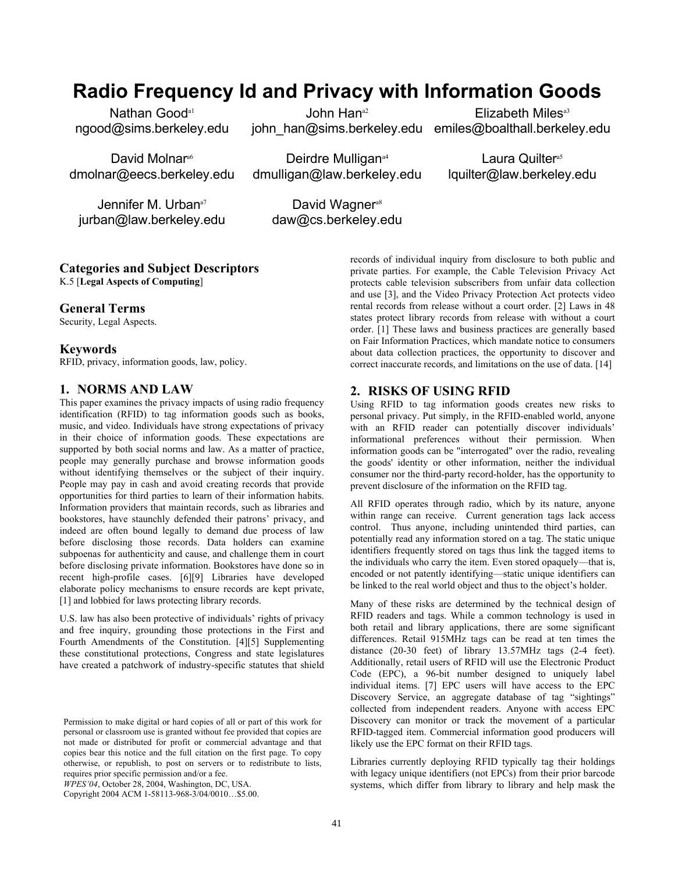# **Radio Frequency Id and Privacy with Information Goods**

Nathan Good<sup>a1</sup> ngood@sims.berkeley.edu

John Han<sup>a2</sup> john\_han@sims.berkeley.edu emiles@boalthall.berkeley.edu

Elizabeth Miles<sup>a3</sup>

David Molnar<sup>a6</sup> dmolnar@eecs.berkeley.edu

Deirdre Mulligan<sup>a4</sup> dmulligan@law.berkeley.edu

Laura Quilter<sup>a5</sup> lquilter@law.berkeley.edu

Jennifer M. Urban<sup>a7</sup> jurban@law.berkeley.edu

David Wagner<sup>a8</sup> daw@cs.berkeley.edu

# **Categories and Subject Descriptors**

K.5 [**Legal Aspects of Computing**]

## **General Terms**

Security, Legal Aspects.

#### **Keywords**

RFID, privacy, information goods, law, policy.

#### **1. NORMS AND LAW**

This paper examines the privacy impacts of using radio frequency identification (RFID) to tag information goods such as books, music, and video. Individuals have strong expectations of privacy in their choice of information goods. These expectations are supported by both social norms and law. As a matter of practice, people may generally purchase and browse information goods without identifying themselves or the subject of their inquiry. People may pay in cash and avoid creating records that provide opportunities for third parties to learn of their information habits. Information providers that maintain records, such as libraries and bookstores, have staunchly defended their patrons' privacy, and indeed are often bound legally to demand due process of law before disclosing those records. Data holders can examine subpoenas for authenticity and cause, and challenge them in court before disclosing private information. Bookstores have done so in recent high-profile cases. [6][9] Libraries have developed elaborate policy mechanisms to ensure records are kept private, [1] and lobbied for laws protecting library records.

U.S. law has also been protective of individuals' rights of privacy and free inquiry, grounding those protections in the First and Fourth Amendments of the Constitution. [4][5] Supplementing these constitutional protections, Congress and state legislatures have created a patchwork of industry-specific statutes that shield

Copyright 2004 ACM 1-58113-968-3/04/0010…\$5.00.

records of individual inquiry from disclosure to both public and private parties. For example, the Cable Television Privacy Act protects cable television subscribers from unfair data collection and use [3], and the Video Privacy Protection Act protects video rental records from release without a court order. [2] Laws in 48 states protect library records from release with without a court order. [1] These laws and business practices are generally based on Fair Information Practices, which mandate notice to consumers about data collection practices, the opportunity to discover and correct inaccurate records, and limitations on the use of data. [14]

#### **2. RISKS OF USING RFID**

Using RFID to tag information goods creates new risks to personal privacy. Put simply, in the RFID-enabled world, anyone with an RFID reader can potentially discover individuals' informational preferences without their permission. When information goods can be "interrogated" over the radio, revealing the goods' identity or other information, neither the individual consumer nor the third-party record-holder, has the opportunity to prevent disclosure of the information on the RFID tag.

All RFID operates through radio, which by its nature, anyone within range can receive. Current generation tags lack access control. Thus anyone, including unintended third parties, can potentially read any information stored on a tag. The static unique identifiers frequently stored on tags thus link the tagged items to the individuals who carry the item. Even stored opaquely—that is, encoded or not patently identifying—static unique identifiers can be linked to the real world object and thus to the object's holder.

Many of these risks are determined by the technical design of RFID readers and tags. While a common technology is used in both retail and library applications, there are some significant differences. Retail 915MHz tags can be read at ten times the distance (20-30 feet) of library 13.57MHz tags (2-4 feet). Additionally, retail users of RFID will use the Electronic Product Code (EPC), a 96-bit number designed to uniquely label individual items. [7] EPC users will have access to the EPC Discovery Service, an aggregate database of tag "sightings" collected from independent readers. Anyone with access EPC Discovery can monitor or track the movement of a particular RFID-tagged item. Commercial information good producers will likely use the EPC format on their RFID tags.

Libraries currently deploying RFID typically tag their holdings with legacy unique identifiers (not EPCs) from their prior barcode systems, which differ from library to library and help mask the

Permission to make digital or hard copies of all or part of this work for personal or classroom use is granted without fee provided that copies are not made or distributed for profit or commercial advantage and that copies bear this notice and the full citation on the first page. To copy otherwise, or republish, to post on servers or to redistribute to lists, requires prior specific permission and/or a fee.

*WPES'04*, October 28, 2004, Washington, DC, USA.